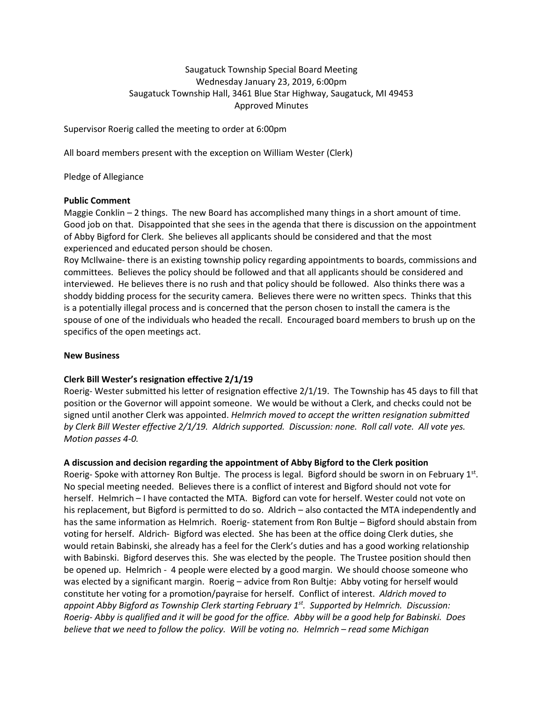# Saugatuck Township Special Board Meeting Wednesday January 23, 2019, 6:00pm Saugatuck Township Hall, 3461 Blue Star Highway, Saugatuck, MI 49453 Approved Minutes

Supervisor Roerig called the meeting to order at 6:00pm

All board members present with the exception on William Wester (Clerk)

Pledge of Allegiance

### **Public Comment**

Maggie Conklin – 2 things. The new Board has accomplished many things in a short amount of time. Good job on that. Disappointed that she sees in the agenda that there is discussion on the appointment of Abby Bigford for Clerk. She believes all applicants should be considered and that the most experienced and educated person should be chosen.

Roy McIlwaine- there is an existing township policy regarding appointments to boards, commissions and committees. Believes the policy should be followed and that all applicants should be considered and interviewed. He believes there is no rush and that policy should be followed. Also thinks there was a shoddy bidding process for the security camera. Believes there were no written specs. Thinks that this is a potentially illegal process and is concerned that the person chosen to install the camera is the spouse of one of the individuals who headed the recall. Encouraged board members to brush up on the specifics of the open meetings act.

## **New Business**

## **Clerk Bill Wester's resignation effective 2/1/19**

Roerig- Wester submitted his letter of resignation effective 2/1/19. The Township has 45 days to fill that position or the Governor will appoint someone. We would be without a Clerk, and checks could not be signed until another Clerk was appointed. *Helmrich moved to accept the written resignation submitted by Clerk Bill Wester effective 2/1/19. Aldrich supported. Discussion: none. Roll call vote. All vote yes. Motion passes 4-0.*

## **A discussion and decision regarding the appointment of Abby Bigford to the Clerk position**

Roerig- Spoke with attorney Ron Bultje. The process is legal. Bigford should be sworn in on February 1st. No special meeting needed. Believes there is a conflict of interest and Bigford should not vote for herself. Helmrich – I have contacted the MTA. Bigford can vote for herself. Wester could not vote on his replacement, but Bigford is permitted to do so. Aldrich – also contacted the MTA independently and has the same information as Helmrich. Roerig- statement from Ron Bultje – Bigford should abstain from voting for herself. Aldrich- Bigford was elected. She has been at the office doing Clerk duties, she would retain Babinski, she already has a feel for the Clerk's duties and has a good working relationship with Babinski. Bigford deserves this. She was elected by the people. The Trustee position should then be opened up. Helmrich - 4 people were elected by a good margin. We should choose someone who was elected by a significant margin. Roerig – advice from Ron Bultje: Abby voting for herself would constitute her voting for a promotion/payraise for herself. Conflict of interest. *Aldrich moved to appoint Abby Bigford as Township Clerk starting February 1st. Supported by Helmrich. Discussion: Roerig- Abby is qualified and it will be good for the office. Abby will be a good help for Babinski. Does believe that we need to follow the policy. Will be voting no. Helmrich – read some Michigan*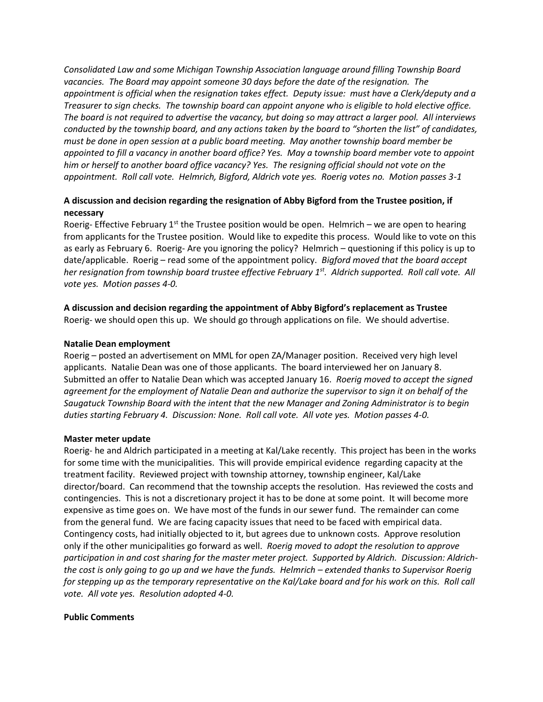*Consolidated Law and some Michigan Township Association language around filling Township Board vacancies. The Board may appoint someone 30 days before the date of the resignation. The appointment is official when the resignation takes effect. Deputy issue: must have a Clerk/deputy and a Treasurer to sign checks. The township board can appoint anyone who is eligible to hold elective office. The board is not required to advertise the vacancy, but doing so may attract a larger pool. All interviews conducted by the township board, and any actions taken by the board to "shorten the list" of candidates, must be done in open session at a public board meeting. May another township board member be appointed to fill a vacancy in another board office? Yes. May a township board member vote to appoint him or herself to another board office vacancy? Yes. The resigning official should not vote on the appointment. Roll call vote. Helmrich, Bigford, Aldrich vote yes. Roerig votes no. Motion passes 3-1*

# **A discussion and decision regarding the resignation of Abby Bigford from the Trustee position, if necessary**

Roerig- Effective February 1<sup>st</sup> the Trustee position would be open. Helmrich – we are open to hearing from applicants for the Trustee position. Would like to expedite this process. Would like to vote on this as early as February 6. Roerig- Are you ignoring the policy? Helmrich – questioning if this policy is up to date/applicable. Roerig – read some of the appointment policy. *Bigford moved that the board accept her resignation from township board trustee effective February 1st. Aldrich supported. Roll call vote. All vote yes. Motion passes 4-0.* 

## **A discussion and decision regarding the appointment of Abby Bigford's replacement as Trustee** Roerig- we should open this up. We should go through applications on file. We should advertise.

### **Natalie Dean employment**

Roerig – posted an advertisement on MML for open ZA/Manager position. Received very high level applicants. Natalie Dean was one of those applicants. The board interviewed her on January 8. Submitted an offer to Natalie Dean which was accepted January 16. *Roerig moved to accept the signed agreement for the employment of Natalie Dean and authorize the supervisor to sign it on behalf of the Saugatuck Township Board with the intent that the new Manager and Zoning Administrator is to begin duties starting February 4. Discussion: None. Roll call vote. All vote yes. Motion passes 4-0.*

#### **Master meter update**

Roerig- he and Aldrich participated in a meeting at Kal/Lake recently. This project has been in the works for some time with the municipalities. This will provide empirical evidence regarding capacity at the treatment facility. Reviewed project with township attorney, township engineer, Kal/Lake director/board. Can recommend that the township accepts the resolution. Has reviewed the costs and contingencies. This is not a discretionary project it has to be done at some point. It will become more expensive as time goes on. We have most of the funds in our sewer fund. The remainder can come from the general fund. We are facing capacity issues that need to be faced with empirical data. Contingency costs, had initially objected to it, but agrees due to unknown costs. Approve resolution only if the other municipalities go forward as well. *Roerig moved to adopt the resolution to approve participation in and cost sharing for the master meter project. Supported by Aldrich. Discussion: Aldrichthe cost is only going to go up and we have the funds. Helmrich – extended thanks to Supervisor Roerig*  for stepping up as the temporary representative on the Kal/Lake board and for his work on this. Roll call *vote. All vote yes. Resolution adopted 4-0.*

#### **Public Comments**